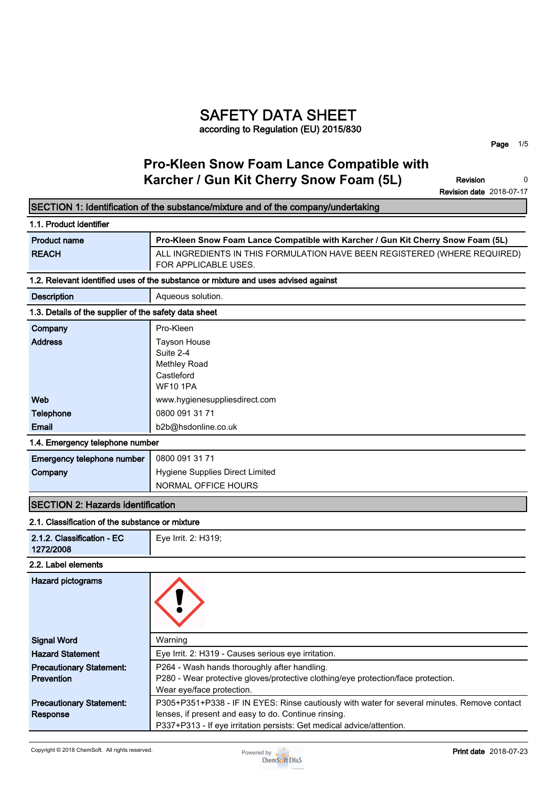## **SAFETY DATA SHEET according to Regulation (EU) 2015/830**

**Page 1/5**

٦

## **Pro-Kleen Snow Foam Lance Compatible with Karcher / Gun Kit Cherry Snow Foam (5L)**

**Revision Revision date 2018-07-17 0**

|                                                       | SECTION 1: Identification of the substance/mixture and of the company/undertaking                                             |
|-------------------------------------------------------|-------------------------------------------------------------------------------------------------------------------------------|
| 1.1. Product identifier                               |                                                                                                                               |
| <b>Product name</b>                                   | Pro-Kleen Snow Foam Lance Compatible with Karcher / Gun Kit Cherry Snow Foam (5L)                                             |
| <b>REACH</b>                                          | ALL INGREDIENTS IN THIS FORMULATION HAVE BEEN REGISTERED (WHERE REQUIRED)<br>FOR APPLICABLE USES.                             |
|                                                       | 1.2. Relevant identified uses of the substance or mixture and uses advised against                                            |
| <b>Description</b>                                    | Aqueous solution.                                                                                                             |
| 1.3. Details of the supplier of the safety data sheet |                                                                                                                               |
| Company                                               | Pro-Kleen                                                                                                                     |
| <b>Address</b>                                        | <b>Tayson House</b>                                                                                                           |
|                                                       | Suite 2-4                                                                                                                     |
|                                                       | Methley Road                                                                                                                  |
|                                                       | Castleford<br><b>WF10 1PA</b>                                                                                                 |
| Web                                                   | www.hygienesuppliesdirect.com                                                                                                 |
| Telephone                                             | 0800 091 31 71                                                                                                                |
| Email                                                 | b2b@hsdonline.co.uk                                                                                                           |
| 1.4. Emergency telephone number                       |                                                                                                                               |
|                                                       |                                                                                                                               |
| Emergency telephone number                            | 0800 091 31 71                                                                                                                |
| Company                                               | Hygiene Supplies Direct Limited                                                                                               |
|                                                       | NORMAL OFFICE HOURS                                                                                                           |
| <b>SECTION 2: Hazards identification</b>              |                                                                                                                               |
| 2.1. Classification of the substance or mixture       |                                                                                                                               |
| 2.1.2. Classification - EC<br>1272/2008               | Eye Irrit. 2: H319;                                                                                                           |
| 2.2. Label elements                                   |                                                                                                                               |
| <b>Hazard pictograms</b>                              |                                                                                                                               |
| <b>Signal Word</b>                                    | Warning                                                                                                                       |
| <b>Hazard Statement</b>                               | Eye Irrit. 2: H319 - Causes serious eye irritation.                                                                           |
| <b>Precautionary Statement:</b>                       | P264 - Wash hands thoroughly after handling.                                                                                  |
| <b>Prevention</b>                                     | P280 - Wear protective gloves/protective clothing/eye protection/face protection.                                             |
|                                                       | Wear eye/face protection.                                                                                                     |
| <b>Precautionary Statement:</b>                       | P305+P351+P338 - IF IN EYES: Rinse cautiously with water for several minutes. Remove contact                                  |
| Response                                              | lenses, if present and easy to do. Continue rinsing.<br>P337+P313 - If eye irritation persists: Get medical advice/attention. |
|                                                       |                                                                                                                               |

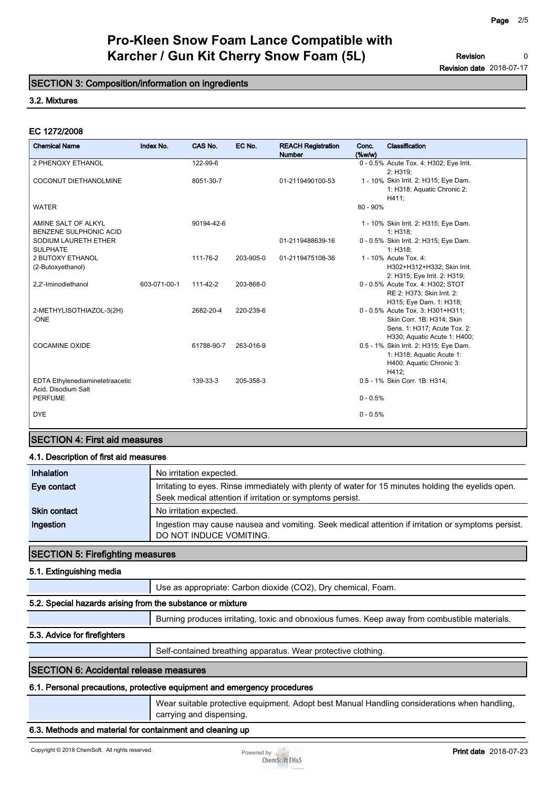**Revision Revision date 2018-07-17 0**

## **SECTION 3: Composition/information on ingredients**

## **3.2. Mixtures**

### **EC 1272/2008**

|                                                        |              |            |           | Karcher / Gun Kit Cherry Snow Foam (5L)    |                 | <b>Revision</b>                                                                                                                |  |
|--------------------------------------------------------|--------------|------------|-----------|--------------------------------------------|-----------------|--------------------------------------------------------------------------------------------------------------------------------|--|
| SECTION 3: Composition/information on ingredients      |              |            |           |                                            |                 | <b>Revision date 2018-07-17</b>                                                                                                |  |
| 3.2. Mixtures                                          |              |            |           |                                            |                 |                                                                                                                                |  |
| EC 1272/2008                                           |              |            |           |                                            |                 |                                                                                                                                |  |
| <b>Chemical Name</b>                                   | Index No.    | CAS No.    | EC No.    | <b>REACH Registration</b><br><b>Number</b> | Conc.<br>(%w/w) | Classification                                                                                                                 |  |
| 2 PHENOXY ETHANOL                                      |              | 122-99-6   |           |                                            |                 | 0 - 0.5% Acute Tox. 4: H302; Eye Irrit.                                                                                        |  |
| COCONUT DIETHANOLMINE                                  |              | 8051-30-7  |           | 01-2119490100-53                           |                 | 2: H319;<br>1 - 10% Skin Irrit. 2: H315; Eye Dam.<br>1: H318; Aquatic Chronic 2:<br>H411;                                      |  |
| WATER                                                  |              |            |           |                                            | 80 - 90%        |                                                                                                                                |  |
| AMINE SALT OF ALKYL<br><b>BENZENE SULPHONIC ACID</b>   |              | 90194-42-6 |           |                                            |                 | 1 - 10% Skin Irrit. 2: H315; Eye Dam.<br>1: H318:                                                                              |  |
| SODIUM LAURETH ETHER<br><b>SULPHATE</b>                |              |            |           | 01-2119488639-16                           |                 | 0 - 0.5% Skin Irrit. 2: H315; Eye Dam.<br>1: H318:                                                                             |  |
| 2 BUTOXY ETHANOL<br>(2-Butoxyethanol)                  |              | 111-76-2   | 203-905-0 | 01-2119475108-36                           |                 | 1 - 10% Acute Tox. 4:<br>H302+H312+H332; Skin Irrit.<br>2: H315; Eye Irrit. 2: H319;                                           |  |
| 2,2'-Iminodiethanol                                    | 603-071-00-1 | 111-42-2   | 203-868-0 |                                            |                 | 0 - 0.5% Acute Tox. 4: H302; STOT<br>RE 2: H373; Skin Irrit. 2:<br>H315; Eye Dam. 1: H318;                                     |  |
| 2-METHYLISOTHIAZOL-3(2H)<br>-ONE                       |              | 2682-20-4  | 220-239-6 |                                            |                 | 0 - 0.5% Acute Tox. 3: H301+H311;<br>Skin Corr. 1B: H314; Skin<br>Sens. 1: H317; Acute Tox. 2:<br>H330; Aquatic Acute 1: H400; |  |
| <b>COCAMINE OXIDE</b>                                  |              | 61788-90-7 | 263-016-9 |                                            |                 | 0.5 - 1% Skin Irrit. 2: H315; Eye Dam.<br>1: H318; Aquatic Acute 1:<br>H400; Aquatic Chronic 3:<br>H412;                       |  |
| EDTA Ethylenediaminetetraacetic<br>Acid, Disodium Salt |              | 139-33-3   | 205-358-3 |                                            |                 | 0.5 - 1% Skin Corr. 1B: H314;                                                                                                  |  |
| <b>PERFUME</b>                                         |              |            |           |                                            | $0 - 0.5%$      |                                                                                                                                |  |
| <b>DYE</b>                                             |              |            |           |                                            | $0 - 0.5%$      |                                                                                                                                |  |

## **SECTION 4: First aid measures**

## **4.1. Description of first aid measures**

| Inhalation          | No irritation expected.                                                                                                                                          |
|---------------------|------------------------------------------------------------------------------------------------------------------------------------------------------------------|
| Eye contact         | Irritating to eyes. Rinse immediately with plenty of water for 15 minutes holding the eyelids open.<br>Seek medical attention if irritation or symptoms persist. |
| <b>Skin contact</b> | No irritation expected.                                                                                                                                          |
| Ingestion           | Ingestion may cause nausea and vomiting. Seek medical attention if irritation or symptoms persist.<br>DO NOT INDUCE VOMITING.                                    |

### **SECTION 5: Firefighting measures**

#### **5.1. Extinguishing media**

**Use as appropriate: Carbon dioxide (CO2), Dry chemical, Foam.**

### **5.2. Special hazards arising from the substance or mixture**

**Burning produces irritating, toxic and obnoxious fumes. Keep away from combustible materials.**

### **5.3. Advice for firefighters**

**Self-contained breathing apparatus. Wear protective clothing.**

## **SECTION 6: Accidental release measures**

### **6.1. Personal precautions, protective equipment and emergency procedures**

**Wear suitable protective equipment. Adopt best Manual Handling considerations when handling, carrying and dispensing.**

## **6.3. Methods and material for containment and cleaning up**

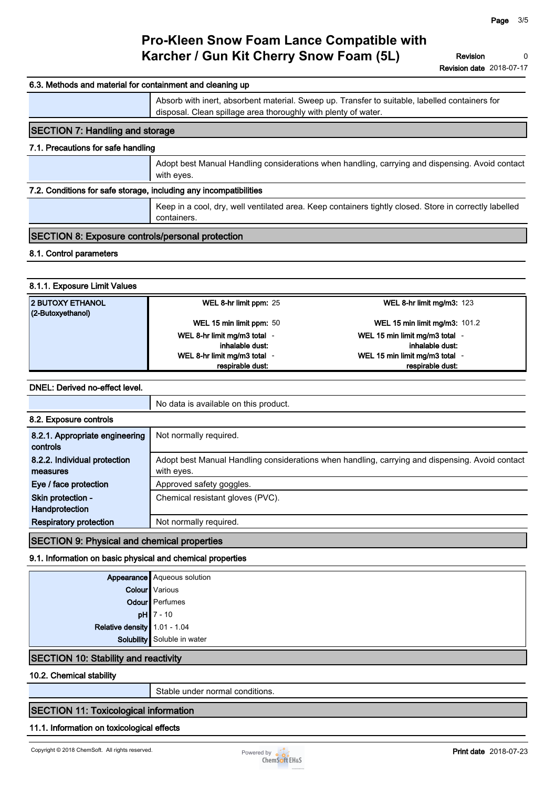**Revision Revision date 2018-07-17 0**

## **6.3. Methods and material for containment and cleaning up Absorb with inert, absorbent material. Sweep up. Transfer to suitable, labelled containers for disposal. Clean spillage area thoroughly with plenty of water. SECTION 7: Handling and storage 7.1. Precautions for safe handling Adopt best Manual Handling considerations when handling, carrying and dispensing. Avoid contact with eyes. 7.2. Conditions for safe storage, including any incompatibilities Keep in a cool, dry, well ventilated area. Keep containers tightly closed. Store in correctly labelled containers. SECTION 8: Exposure controls/personal protection 8.1. Control parameters 8.1.1. Exposure Limit Values 2 BUTOXY ETHANOL (2-Butoxyethanol) WEL 8-hr limit ppm: 25 WEL 8-hr limit mg/m3: 123 WEL 15 min limit ppm: 50 WEL 15 min limit mg/m3: 101.2 WEL 8-hr limit mg/m3 total inhalable dust: - WEL 15 min limit mg/m3 total inhalable dust: - WEL 8-hr limit mg/m3 total respirable dust: - WEL 15 min limit mg/m3 total respirable dust: -**

### **DNEL: Derived no-effect level.**

| No data is available on this product.<br>Not normally required.<br>Adopt best Manual Handling considerations when handling, carrying and dispensing. Avoid contact |
|--------------------------------------------------------------------------------------------------------------------------------------------------------------------|
|                                                                                                                                                                    |
|                                                                                                                                                                    |
|                                                                                                                                                                    |
| with eyes.                                                                                                                                                         |
| Approved safety goggles.                                                                                                                                           |
| Chemical resistant gloves (PVC).                                                                                                                                   |
| Not normally required.                                                                                                                                             |
|                                                                                                                                                                    |

## **SECTION 9: Physical and chemical properties**

### **9.1. Information on basic physical and chemical properties**

|                                                       | <b>Appearance</b> Aqueous solution<br><b>Colour</b> Various |
|-------------------------------------------------------|-------------------------------------------------------------|
|                                                       | Odour Perfumes                                              |
| <b>pH</b> $\left  \frac{7 - 10}{1.01 - 1.04} \right $ |                                                             |
|                                                       |                                                             |
|                                                       | Solubility Soluble in water                                 |
|                                                       |                                                             |

## **SECTION 10: Stability and reactivity**

**10.2. Chemical stability**

**Stable under normal conditions.**

## **SECTION 11: Toxicological information**

### **11.1. Information on toxicological effects**

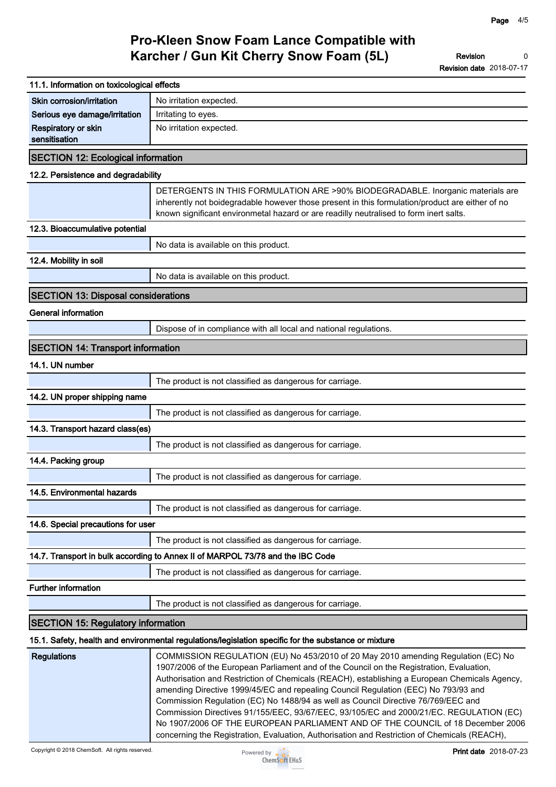| 11.1. Information on toxicological effects |                                                                                                                                                                                                                                                                                                                                                                                                                                                                                                                                                                                                                                                                                                                                       |
|--------------------------------------------|---------------------------------------------------------------------------------------------------------------------------------------------------------------------------------------------------------------------------------------------------------------------------------------------------------------------------------------------------------------------------------------------------------------------------------------------------------------------------------------------------------------------------------------------------------------------------------------------------------------------------------------------------------------------------------------------------------------------------------------|
| Skin corrosion/irritation                  | No irritation expected.                                                                                                                                                                                                                                                                                                                                                                                                                                                                                                                                                                                                                                                                                                               |
| Serious eye damage/irritation              | Irritating to eyes.                                                                                                                                                                                                                                                                                                                                                                                                                                                                                                                                                                                                                                                                                                                   |
| Respiratory or skin<br>sensitisation       | No irritation expected.                                                                                                                                                                                                                                                                                                                                                                                                                                                                                                                                                                                                                                                                                                               |
| <b>SECTION 12: Ecological information</b>  |                                                                                                                                                                                                                                                                                                                                                                                                                                                                                                                                                                                                                                                                                                                                       |
| 12.2. Persistence and degradability        |                                                                                                                                                                                                                                                                                                                                                                                                                                                                                                                                                                                                                                                                                                                                       |
|                                            | DETERGENTS IN THIS FORMULATION ARE >90% BIODEGRADABLE. Inorganic materials are<br>inherently not boidegradable however those present in this formulation/product are either of no<br>known significant environmetal hazard or are readilly neutralised to form inert salts.                                                                                                                                                                                                                                                                                                                                                                                                                                                           |
| 12.3. Bioaccumulative potential            |                                                                                                                                                                                                                                                                                                                                                                                                                                                                                                                                                                                                                                                                                                                                       |
|                                            | No data is available on this product.                                                                                                                                                                                                                                                                                                                                                                                                                                                                                                                                                                                                                                                                                                 |
| 12.4. Mobility in soil                     |                                                                                                                                                                                                                                                                                                                                                                                                                                                                                                                                                                                                                                                                                                                                       |
|                                            | No data is available on this product.                                                                                                                                                                                                                                                                                                                                                                                                                                                                                                                                                                                                                                                                                                 |
| <b>SECTION 13: Disposal considerations</b> |                                                                                                                                                                                                                                                                                                                                                                                                                                                                                                                                                                                                                                                                                                                                       |
| General information                        |                                                                                                                                                                                                                                                                                                                                                                                                                                                                                                                                                                                                                                                                                                                                       |
|                                            | Dispose of in compliance with all local and national regulations.                                                                                                                                                                                                                                                                                                                                                                                                                                                                                                                                                                                                                                                                     |
| <b>SECTION 14: Transport information</b>   |                                                                                                                                                                                                                                                                                                                                                                                                                                                                                                                                                                                                                                                                                                                                       |
| 14.1. UN number                            |                                                                                                                                                                                                                                                                                                                                                                                                                                                                                                                                                                                                                                                                                                                                       |
|                                            | The product is not classified as dangerous for carriage.                                                                                                                                                                                                                                                                                                                                                                                                                                                                                                                                                                                                                                                                              |
| 14.2. UN proper shipping name              |                                                                                                                                                                                                                                                                                                                                                                                                                                                                                                                                                                                                                                                                                                                                       |
|                                            | The product is not classified as dangerous for carriage.                                                                                                                                                                                                                                                                                                                                                                                                                                                                                                                                                                                                                                                                              |
| 14.3. Transport hazard class(es)           |                                                                                                                                                                                                                                                                                                                                                                                                                                                                                                                                                                                                                                                                                                                                       |
|                                            | The product is not classified as dangerous for carriage.                                                                                                                                                                                                                                                                                                                                                                                                                                                                                                                                                                                                                                                                              |
| 14.4. Packing group                        |                                                                                                                                                                                                                                                                                                                                                                                                                                                                                                                                                                                                                                                                                                                                       |
|                                            | The product is not classified as dangerous for carriage.                                                                                                                                                                                                                                                                                                                                                                                                                                                                                                                                                                                                                                                                              |
| 14.5. Environmental hazards                |                                                                                                                                                                                                                                                                                                                                                                                                                                                                                                                                                                                                                                                                                                                                       |
|                                            | The product is not classified as dangerous for carriage.                                                                                                                                                                                                                                                                                                                                                                                                                                                                                                                                                                                                                                                                              |
| 14.6. Special precautions for user         |                                                                                                                                                                                                                                                                                                                                                                                                                                                                                                                                                                                                                                                                                                                                       |
|                                            | The product is not classified as dangerous for carriage.                                                                                                                                                                                                                                                                                                                                                                                                                                                                                                                                                                                                                                                                              |
|                                            | 14.7. Transport in bulk according to Annex II of MARPOL 73/78 and the IBC Code                                                                                                                                                                                                                                                                                                                                                                                                                                                                                                                                                                                                                                                        |
|                                            | The product is not classified as dangerous for carriage.                                                                                                                                                                                                                                                                                                                                                                                                                                                                                                                                                                                                                                                                              |
| <b>Further information</b>                 |                                                                                                                                                                                                                                                                                                                                                                                                                                                                                                                                                                                                                                                                                                                                       |
|                                            | The product is not classified as dangerous for carriage.                                                                                                                                                                                                                                                                                                                                                                                                                                                                                                                                                                                                                                                                              |
| <b>SECTION 15: Regulatory information</b>  |                                                                                                                                                                                                                                                                                                                                                                                                                                                                                                                                                                                                                                                                                                                                       |
|                                            | 15.1. Safety, health and environmental regulations/legislation specific for the substance or mixture                                                                                                                                                                                                                                                                                                                                                                                                                                                                                                                                                                                                                                  |
| <b>Regulations</b>                         | COMMISSION REGULATION (EU) No 453/2010 of 20 May 2010 amending Regulation (EC) No<br>1907/2006 of the European Parliament and of the Council on the Registration, Evaluation,<br>Authorisation and Restriction of Chemicals (REACH), establishing a European Chemicals Agency,<br>amending Directive 1999/45/EC and repealing Council Regulation (EEC) No 793/93 and<br>Commission Regulation (EC) No 1488/94 as well as Council Directive 76/769/EEC and<br>Commission Directives 91/155/EEC, 93/67/EEC, 93/105/EC and 2000/21/EC. REGULATION (EC)<br>No 1907/2006 OF THE EUROPEAN PARLIAMENT AND OF THE COUNCIL of 18 December 2006<br>concerning the Registration, Evaluation, Authorisation and Restriction of Chemicals (REACH), |